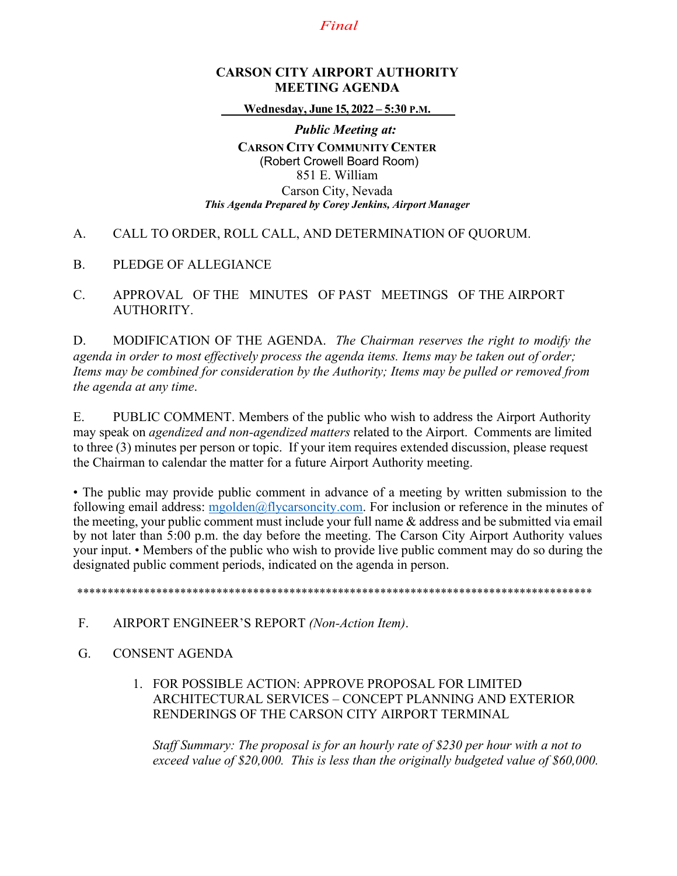# Final

# **CARSON CITY AIRPORT AUTHORITY MEETING AGENDA**

Wednesday, June 15, 2022 – 5:30 P.M.

**Public Meeting at: CARSON CITY COMMUNITY CENTER** (Robert Crowell Board Room) 851 E. William Carson City, Nevada This Agenda Prepared by Corey Jenkins, Airport Manager

#### CALL TO ORDER, ROLL CALL, AND DETERMINATION OF QUORUM.  $A_{1}$

PLEDGE OF ALLEGIANCE  $B<sub>1</sub>$ 

 $C_{\cdot}$ APPROVAL OF THE MINUTES OF PAST MEETINGS OF THE AIRPORT AUTHORITY.

D. MODIFICATION OF THE AGENDA. The Chairman reserves the right to modify the agenda in order to most effectively process the agenda items. Items may be taken out of order; Items may be combined for consideration by the Authority; Items may be pulled or removed from the agenda at any time.

 $E_{\cdot}$ PUBLIC COMMENT. Members of the public who wish to address the Airport Authority may speak on *agendized and non-agendized matters* related to the Airport. Comments are limited to three (3) minutes per person or topic. If your item requires extended discussion, please request the Chairman to calendar the matter for a future Airport Authority meeting.

• The public may provide public comment in advance of a meeting by written submission to the following email address:  $mgolden@flycarsoncity.com$ . For inclusion or reference in the minutes of the meeting, your public comment must include your full name & address and be submitted via email by not later than 5:00 p.m. the day before the meeting. The Carson City Airport Authority values your input. • Members of the public who wish to provide live public comment may do so during the designated public comment periods, indicated on the agenda in person.

#### $F_{\cdot}$ AIRPORT ENGINEER'S REPORT (Non-Action Item).

- $G_{\cdot}$ **CONSENT AGENDA** 
	- 1. FOR POSSIBLE ACTION: APPROVE PROPOSAL FOR LIMITED ARCHITECTURAL SERVICES - CONCEPT PLANNING AND EXTERIOR RENDERINGS OF THE CARSON CITY AIRPORT TERMINAL

Staff Summary: The proposal is for an hourly rate of \$230 per hour with a not to exceed value of \$20,000. This is less than the originally budgeted value of \$60,000.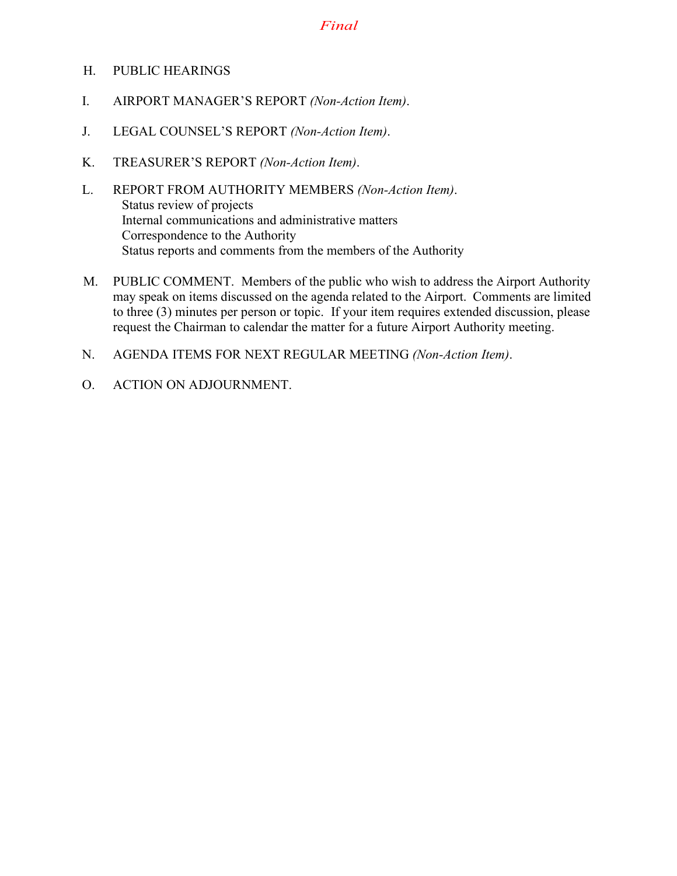# *Final*

- H. PUBLIC HEARINGS
- I. AIRPORT MANAGER'S REPORT *(Non-Action Item)*.
- J. LEGAL COUNSEL'S REPORT *(Non-Action Item)*.
- K. TREASURER'S REPORT *(Non-Action Item)*.
- L. REPORT FROM AUTHORITY MEMBERS *(Non-Action Item)*. Status review of projects Internal communications and administrative matters Correspondence to the Authority Status reports and comments from the members of the Authority
- M. PUBLIC COMMENT. Members of the public who wish to address the Airport Authority may speak on items discussed on the agenda related to the Airport. Comments are limited to three (3) minutes per person or topic. If your item requires extended discussion, please request the Chairman to calendar the matter for a future Airport Authority meeting.
- N. AGENDA ITEMS FOR NEXT REGULAR MEETING *(Non-Action Item)*.
- O. ACTION ON ADJOURNMENT.